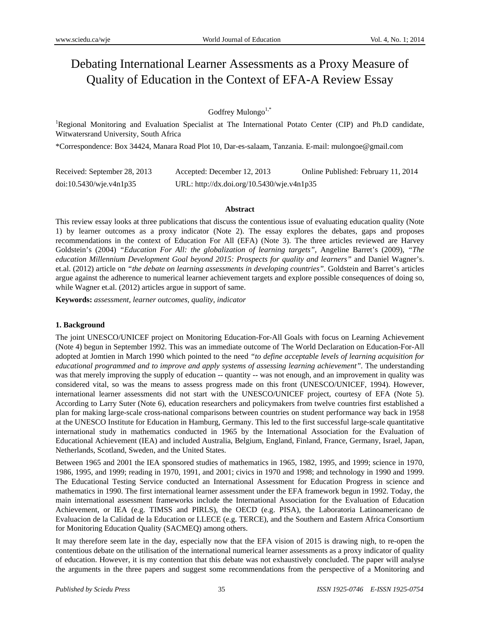# Debating International Learner Assessments as a Proxy Measure of Quality of Education in the Context of EFA-A Review Essay

# Godfrey Mulongo<sup>1,\*</sup>

<sup>1</sup>Regional Monitoring and Evaluation Specialist at The International Potato Center (CIP) and Ph.D candidate, Witwatersrand University, South Africa

\*Correspondence: Box 34424, Manara Road Plot 10, Dar-es-salaam, Tanzania. E-mail: mulongoe@gmail.com

| Received: September 28, 2013 | Accepted: December 12, 2013                | Online Published: February 11, 2014 |
|------------------------------|--------------------------------------------|-------------------------------------|
| doi:10.5430/wje.v4n1p35      | URL: http://dx.doi.org/10.5430/wje.v4n1p35 |                                     |

## **Abstract**

This review essay looks at three publications that discuss the contentious issue of evaluating education quality (Note 1) by learner outcomes as a proxy indicator (Note 2). The essay explores the debates, gaps and proposes recommendations in the context of Education For All (EFA) (Note 3). The three articles reviewed are Harvey Goldstein's (2004) *"Education For All: the globalization of learning targets",* Angeline Barret's (2009), *"The education Millennium Development Goal beyond 2015: Prospects for quality and learners"* and Daniel Wagner's. et.al. (2012) article on *"the debate on learning assessments in developing countries".* Goldstein and Barret's articles argue against the adherence to numerical learner achievement targets and explore possible consequences of doing so, while Wagner et.al. (2012) articles argue in support of same.

**Keywords:** *assessment, learner outcomes, quality, indicator*

## **1. Background**

The joint UNESCO/UNICEF project on Monitoring Education-For-All Goals with focus on Learning Achievement (Note 4) begun in September 1992. This was an immediate outcome of The World Declaration on Education-For-All adopted at Jomtien in March 1990 which pointed to the need *"to define acceptable levels of learning acquisition for educational programmed and to improve and apply systems of assessing learning achievement".* The understanding was that merely improving the supply of education -- quantity -- was not enough, and an improvement in quality was considered vital, so was the means to assess progress made on this front (UNESCO/UNICEF, 1994). However, international learner assessments did not start with the UNESCO/UNICEF project, courtesy of EFA (Note 5). According to Larry Suter (Note 6), education researchers and policymakers from twelve countries first established a plan for making large-scale cross-national comparisons between countries on student performance way back in 1958 at the UNESCO Institute for Education in Hamburg, Germany. This led to the first successful large-scale quantitative international study in mathematics conducted in 1965 by the International Association for the Evaluation of Educational Achievement (IEA) and included Australia, Belgium, England, Finland, France, Germany, Israel, Japan, Netherlands, Scotland, Sweden, and the United States.

Between 1965 and 2001 the IEA sponsored studies of mathematics in 1965, 1982, 1995, and 1999; science in 1970, 1986, 1995, and 1999; reading in 1970, 1991, and 2001; civics in 1970 and 1998; and technology in 1990 and 1999. The Educational Testing Service conducted an International Assessment for Education Progress in science and mathematics in 1990. The first international learner assessment under the EFA framework begun in 1992. Today, the main international assessment frameworks include the International Association for the Evaluation of Education Achievement, or IEA (e.g. TIMSS and PIRLS), the OECD (e.g. PISA), the Laboratoria Latinoamericano de Evaluacion de la Calidad de la Education or LLECE (e.g. TERCE), and the Southern and Eastern Africa Consortium for Monitoring Education Quality (SACMEQ) among others.

It may therefore seem late in the day, especially now that the EFA vision of 2015 is drawing nigh, to re-open the contentious debate on the utilisation of the international numerical learner assessments as a proxy indicator of quality of education. However, it is my contention that this debate was not exhaustively concluded. The paper will analyse the arguments in the three papers and suggest some recommendations from the perspective of a Monitoring and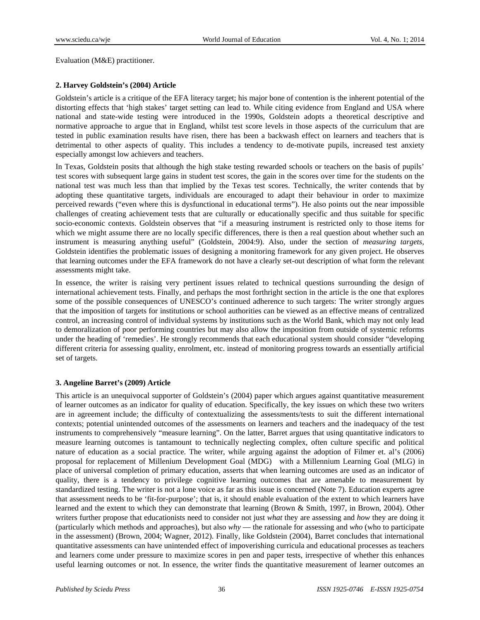Evaluation (M&E) practitioner.

## **2. Harvey Goldstein's (2004) Article**

Goldstein's article is a critique of the EFA literacy target; his major bone of contention is the inherent potential of the distorting effects that 'high stakes' target setting can lead to. While citing evidence from England and USA where national and state-wide testing were introduced in the 1990s, Goldstein adopts a theoretical descriptive and normative approache to argue that in England, whilst test score levels in those aspects of the curriculum that are tested in public examination results have risen, there has been a backwash effect on learners and teachers that is detrimental to other aspects of quality. This includes a tendency to de-motivate pupils, increased test anxiety especially amongst low achievers and teachers.

In Texas, Goldstein posits that although the high stake testing rewarded schools or teachers on the basis of pupils' test scores with subsequent large gains in student test scores, the gain in the scores over time for the students on the national test was much less than that implied by the Texas test scores. Technically, the writer contends that by adopting these quantitative targets, individuals are encouraged to adapt their behaviour in order to maximize perceived rewards ("even where this is dysfunctional in educational terms"). He also points out the near impossible challenges of creating achievement tests that are culturally or educationally specific and thus suitable for specific socio-economic contexts. Goldstein observes that "if a measuring instrument is restricted only to those items for which we might assume there are no locally specific differences, there is then a real question about whether such an instrument is measuring anything useful" (Goldstein, 2004:9). Also, under the section of *measuring targets*, Goldstein identifies the problematic issues of designing a monitoring framework for any given project. He observes that learning outcomes under the EFA framework do not have a clearly set-out description of what form the relevant assessments might take.

In essence, the writer is raising very pertinent issues related to technical questions surrounding the design of international achievement tests. Finally, and perhaps the most forthright section in the article is the one that explores some of the possible consequences of UNESCO's continued adherence to such targets: The writer strongly argues that the imposition of targets for institutions or school authorities can be viewed as an effective means of centralized control, an increasing control of individual systems by institutions such as the World Bank, which may not only lead to demoralization of poor performing countries but may also allow the imposition from outside of systemic reforms under the heading of 'remedies'. He strongly recommends that each educational system should consider "developing different criteria for assessing quality, enrolment, etc. instead of monitoring progress towards an essentially artificial set of targets.

## **3. Angeline Barret's (2009) Article**

This article is an unequivocal supporter of Goldstein's (2004) paper which argues against quantitative measurement of learner outcomes as an indicator for quality of education. Specifically, the key issues on which these two writers are in agreement include; the difficulty of contextualizing the assessments/tests to suit the different international contexts; potential unintended outcomes of the assessments on learners and teachers and the inadequacy of the test instruments to comprehensively "measure learning". On the latter, Barret argues that using quantitative indicators to measure learning outcomes is tantamount to technically neglecting complex, often culture specific and political nature of education as a social practice. The writer, while arguing against the adoption of Filmer et. al's (2006) proposal for replacement of Millenium Development Goal (MDG) with a Millennium Learning Goal (MLG) in place of universal completion of primary education, asserts that when learning outcomes are used as an indicator of quality, there is a tendency to privilege cognitive learning outcomes that are amenable to measurement by standardized testing. The writer is not a lone voice as far as this issue is concerned (Note 7). Education experts agree that assessment needs to be 'fit-for-purpose'; that is, it should enable evaluation of the extent to which learners have learned and the extent to which they can demonstrate that learning (Brown & Smith, 1997, in Brown, 2004). Other writers further propose that educationists need to consider not just *what* they are assessing and *how* they are doing it (particularly which methods and approaches), but also *why* — the rationale for assessing and *who* (who to participate in the assessment) (Brown, 2004; Wagner, 2012). Finally, like Goldstein (2004), Barret concludes that international quantitative assessments can have unintended effect of impoverishing curricula and educational processes as teachers and learners come under pressure to maximize scores in pen and paper tests, irrespective of whether this enhances useful learning outcomes or not. In essence, the writer finds the quantitative measurement of learner outcomes an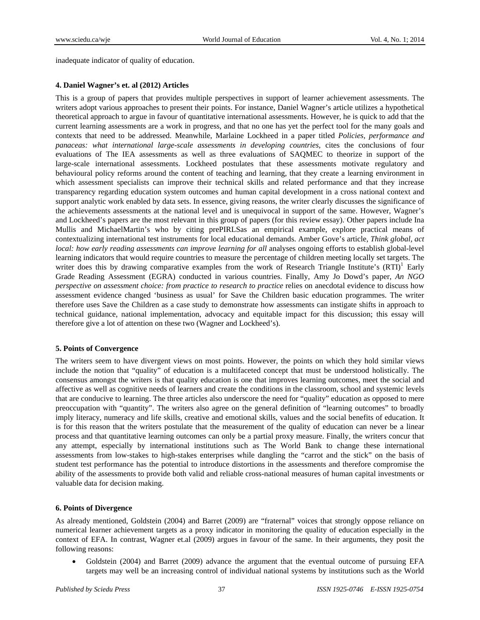inadequate indicator of quality of education.

## **4. Daniel Wagner's et. al (2012) Articles**

This is a group of papers that provides multiple perspectives in support of learner achievement assessments. The writers adopt various approaches to present their points. For instance, Daniel Wagner's article utilizes a hypothetical theoretical approach to argue in favour of quantitative international assessments. However, he is quick to add that the current learning assessments are a work in progress, and that no one has yet the perfect tool for the many goals and contexts that need to be addressed. Meanwhile, Marlaine Lockheed in a paper titled *Policies, performance and panaceas: what international large-scale assessments in developing countries*, cites the conclusions of four evaluations of The IEA assessments as well as three evaluations of SAQMEC to theorize in support of the large-scale international assessments. Lockheed postulates that these assessments motivate regulatory and behavioural policy reforms around the content of teaching and learning, that they create a learning environment in which assessment specialists can improve their technical skills and related performance and that they increase transparency regarding education system outcomes and human capital development in a cross national context and support analytic work enabled by data sets. In essence, giving reasons, the writer clearly discusses the significance of the achievements assessments at the national level and is unequivocal in support of the same. However, Wagner's and Lockheed's papers are the most relevant in this group of papers (for this review essay).. Other papers include Ina Mullis and MichaelMartin's who by citing prePIRLSas an empirical example, explore practical means of contextualizing international test instruments for local educational demands. Amber Gove's article, *Think global, act local: how early reading assessments can improve learning for all analyses ongoing efforts to establish global-level* learning indicators that would require countries to measure the percentage of children meeting locally set targets. The writer does this by drawing comparative examples from the work of Research Triangle Institute's  $(RTI)^1$  Early Grade Reading Assessment (EGRA) conducted in various countries. Finally, Amy Jo Dowd's paper, *An NGO perspective on assessment choice: from practice to research to practice* relies on anecdotal evidence to discuss how assessment evidence changed 'business as usual' for Save the Children basic education programmes. The writer therefore uses Save the Children as a case study to demonstrate how assessments can instigate shifts in approach to technical guidance, national implementation, advocacy and equitable impact for this discussion; this essay will therefore give a lot of attention on these two (Wagner and Lockheed's).

## **5. Points of Convergence**

The writers seem to have divergent views on most points. However, the points on which they hold similar views include the notion that "quality" of education is a multifaceted concept that must be understood holistically. The consensus amongst the writers is that quality education is one that improves learning outcomes, meet the social and affective as well as cognitive needs of learners and create the conditions in the classroom, school and systemic levels that are conducive to learning. The three articles also underscore the need for "quality" education as opposed to mere preoccupation with "quantity". The writers also agree on the general definition of "learning outcomes" to broadly imply literacy, numeracy and life skills, creative and emotional skills, values and the social benefits of education. It is for this reason that the writers postulate that the measurement of the quality of education can never be a linear process and that quantitative learning outcomes can only be a partial proxy measure. Finally, the writers concur that any attempt, especially by international institutions such as The World Bank to change these international assessments from low-stakes to high-stakes enterprises while dangling the "carrot and the stick" on the basis of student test performance has the potential to introduce distortions in the assessments and therefore compromise the ability of the assessments to provide both valid and reliable cross-national measures of human capital investments or valuable data for decision making.

## **6. Points of Divergence**

As already mentioned, Goldstein (2004) and Barret (2009) are "fraternal" voices that strongly oppose reliance on numerical learner achievement targets as a proxy indicator in monitoring the quality of education especially in the context of EFA. In contrast, Wagner et.al (2009) argues in favour of the same. In their arguments, they posit the following reasons:

 Goldstein (2004) and Barret (2009) advance the argument that the eventual outcome of pursuing EFA targets may well be an increasing control of individual national systems by institutions such as the World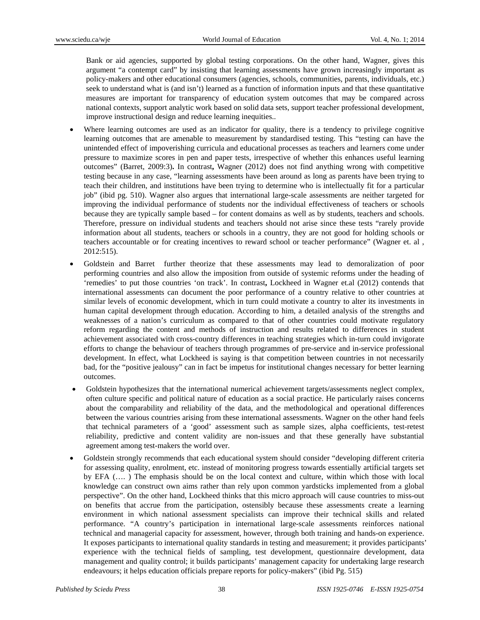Bank or aid agencies, supported by global testing corporations. On the other hand, Wagner, gives this argument "a contempt card" by insisting that learning assessments have grown increasingly important as policy-makers and other educational consumers (agencies, schools, communities, parents, individuals, etc.) seek to understand what is (and isn't) learned as a function of information inputs and that these quantitative measures are important for transparency of education system outcomes that may be compared across national contexts, support analytic work based on solid data sets, support teacher professional development, improve instructional design and reduce learning inequities..

- Where learning outcomes are used as an indicator for quality, there is a tendency to privilege cognitive learning outcomes that are amenable to measurement by standardised testing. This "testing can have the unintended effect of impoverishing curricula and educational processes as teachers and learners come under pressure to maximize scores in pen and paper tests, irrespective of whether this enhances useful learning outcomes" (Barret, 2009:3)**.** In contrast**,** Wagner (2012) does not find anything wrong with competitive testing because in any case, "learning assessments have been around as long as parents have been trying to teach their children, and institutions have been trying to determine who is intellectually fit for a particular job" (ibid pg. 510). Wagner also argues that international large-scale assessments are neither targeted for improving the individual performance of students nor the individual effectiveness of teachers or schools because they are typically sample based – for content domains as well as by students, teachers and schools. Therefore, pressure on individual students and teachers should not arise since these tests "rarely provide information about all students, teachers or schools in a country, they are not good for holding schools or teachers accountable or for creating incentives to reward school or teacher performance" (Wagner et. al , 2012:515).
- Goldstein and Barret further theorize that these assessments may lead to demoralization of poor performing countries and also allow the imposition from outside of systemic reforms under the heading of 'remedies' to put those countries 'on track'. In contrast**,** Lockheed in Wagner et.al (2012) contends that international assessments can document the poor performance of a country relative to other countries at similar levels of economic development, which in turn could motivate a country to alter its investments in human capital development through education. According to him, a detailed analysis of the strengths and weaknesses of a nation's curriculum as compared to that of other countries could motivate regulatory reform regarding the content and methods of instruction and results related to differences in student achievement associated with cross-country differences in teaching strategies which in-turn could invigorate efforts to change the behaviour of teachers through programmes of pre-service and in-service professional development. In effect, what Lockheed is saying is that competition between countries in not necessarily bad, for the "positive jealousy" can in fact be impetus for institutional changes necessary for better learning outcomes.
- Goldstein hypothesizes that the international numerical achievement targets/assessments neglect complex, often culture specific and political nature of education as a social practice. He particularly raises concerns about the comparability and reliability of the data, and the methodological and operational differences between the various countries arising from these international assessments. Wagner on the other hand feels that technical parameters of a 'good' assessment such as sample sizes, alpha coefficients, test-retest reliability, predictive and content validity are non-issues and that these generally have substantial agreement among test-makers the world over.
- Goldstein strongly recommends that each educational system should consider "developing different criteria for assessing quality, enrolment, etc. instead of monitoring progress towards essentially artificial targets set by EFA (…. ) The emphasis should be on the local context and culture, within which those with local knowledge can construct own aims rather than rely upon common yardsticks implemented from a global perspective". On the other hand, Lockheed thinks that this micro approach will cause countries to miss-out on benefits that accrue from the participation, ostensibly because these assessments create a learning environment in which national assessment specialists can improve their technical skills and related performance. "A country's participation in international large-scale assessments reinforces national technical and managerial capacity for assessment, however, through both training and hands-on experience. It exposes participants to international quality standards in testing and measurement; it provides participants' experience with the technical fields of sampling, test development, questionnaire development, data management and quality control; it builds participants' management capacity for undertaking large research endeavours; it helps education officials prepare reports for policy-makers" (ibid Pg. 515)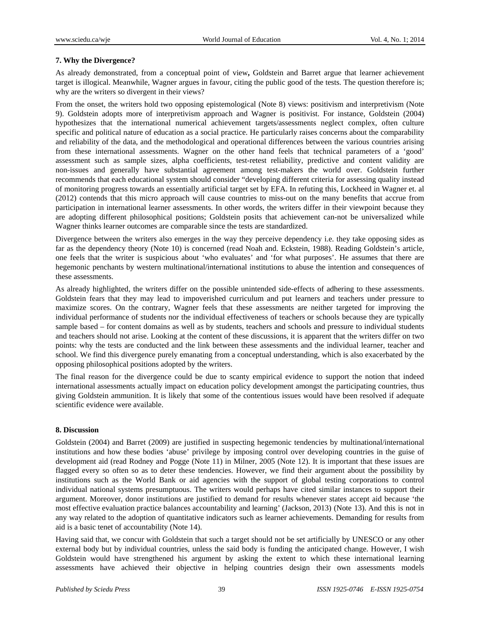## **7. Why the Divergence?**

As already demonstrated, from a conceptual point of view**,** Goldstein and Barret argue that learner achievement target is illogical. Meanwhile, Wagner argues in favour, citing the public good of the tests. The question therefore is; why are the writers so divergent in their views?

From the onset, the writers hold two opposing epistemological (Note 8) views: positivism and interpretivism (Note 9). Goldstein adopts more of interpretivism approach and Wagner is positivist. For instance, Goldstein (2004) hypothesizes that the international numerical achievement targets/assessments neglect complex, often culture specific and political nature of education as a social practice. He particularly raises concerns about the comparability and reliability of the data, and the methodological and operational differences between the various countries arising from these international assessments. Wagner on the other hand feels that technical parameters of a 'good' assessment such as sample sizes, alpha coefficients, test-retest reliability, predictive and content validity are non-issues and generally have substantial agreement among test-makers the world over. Goldstein further recommends that each educational system should consider "developing different criteria for assessing quality instead of monitoring progress towards an essentially artificial target set by EFA. In refuting this, Lockheed in Wagner et. al (2012) contends that this micro approach will cause countries to miss-out on the many benefits that accrue from participation in international learner assessments. In other words, the writers differ in their viewpoint because they are adopting different philosophical positions; Goldstein posits that achievement can-not be universalized while Wagner thinks learner outcomes are comparable since the tests are standardized.

Divergence between the writers also emerges in the way they perceive dependency i.e. they take opposing sides as far as the dependency theory (Note 10) is concerned (read Noah and. Eckstein, 1988). Reading Goldstein's article, one feels that the writer is suspicious about 'who evaluates' and 'for what purposes'. He assumes that there are hegemonic penchants by western multinational/international institutions to abuse the intention and consequences of these assessments.

As already highlighted, the writers differ on the possible unintended side-effects of adhering to these assessments. Goldstein fears that they may lead to impoverished curriculum and put learners and teachers under pressure to maximize scores. On the contrary, Wagner feels that these assessments are neither targeted for improving the individual performance of students nor the individual effectiveness of teachers or schools because they are typically sample based – for content domains as well as by students, teachers and schools and pressure to individual students and teachers should not arise. Looking at the content of these discussions, it is apparent that the writers differ on two points: why the tests are conducted and the link between these assessments and the individual learner, teacher and school. We find this divergence purely emanating from a conceptual understanding, which is also exacerbated by the opposing philosophical positions adopted by the writers.

The final reason for the divergence could be due to scanty empirical evidence to support the notion that indeed international assessments actually impact on education policy development amongst the participating countries, thus giving Goldstein ammunition. It is likely that some of the contentious issues would have been resolved if adequate scientific evidence were available.

## **8. Discussion**

Goldstein (2004) and Barret (2009) are justified in suspecting hegemonic tendencies by multinational/international institutions and how these bodies 'abuse' privilege by imposing control over developing countries in the guise of development aid (read Rodney and Pogge (Note 11) in Milner, 2005 (Note 12). It is important that these issues are flagged every so often so as to deter these tendencies. However, we find their argument about the possibility by institutions such as the World Bank or aid agencies with the support of global testing corporations to control individual national systems presumptuous. The writers would perhaps have cited similar instances to support their argument. Moreover, donor institutions are justified to demand for results whenever states accept aid because 'the most effective evaluation practice balances accountability and learning' (Jackson, 2013) (Note 13). And this is not in any way related to the adoption of quantitative indicators such as learner achievements. Demanding for results from aid is a basic tenet of accountability (Note 14).

Having said that, we concur with Goldstein that such a target should not be set artificially by UNESCO or any other external body but by individual countries, unless the said body is funding the anticipated change. However, I wish Goldstein would have strengthened his argument by asking the extent to which these international learning assessments have achieved their objective in helping countries design their own assessments models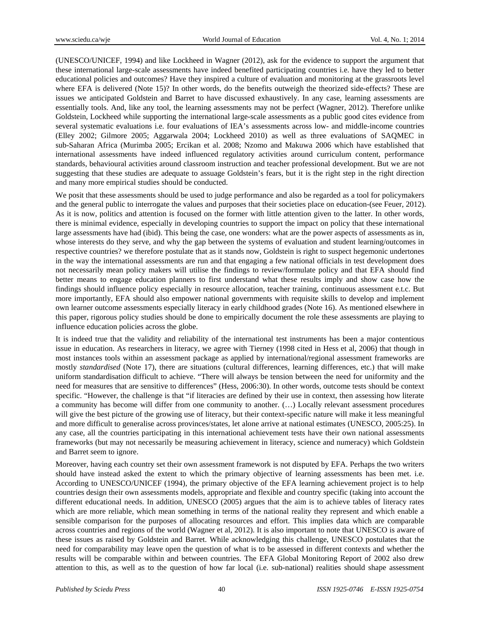(UNESCO/UNICEF, 1994) and like Lockheed in Wagner (2012), ask for the evidence to support the argument that these international large-scale assessments have indeed benefited participating countries i.e. have they led to better educational policies and outcomes? Have they inspired a culture of evaluation and monitoring at the grassroots level where EFA is delivered (Note 15)? In other words, do the benefits outweigh the theorized side-effects? These are issues we anticipated Goldstein and Barret to have discussed exhaustively. In any case, learning assessments are essentially tools. And, like any tool, the learning assessments may not be perfect (Wagner, 2012). Therefore unlike Goldstein, Lockheed while supporting the international large-scale assessments as a public good cites evidence from several systematic evaluations i.e. four evaluations of IEA's assessments across low- and middle-income countries (Elley 2002; Gilmore 2005; Aggarwala 2004; Lockheed 2010) as well as three evaluations of SAQMEC in sub-Saharan Africa (Murimba 2005; Ercikan et al. 2008; Nzomo and Makuwa 2006 which have established that international assessments have indeed influenced regulatory activities around curriculum content, performance standards, behavioural activities around classroom instruction and teacher professional development. But we are not suggesting that these studies are adequate to assuage Goldstein's fears, but it is the right step in the right direction and many more empirical studies should be conducted.

We posit that these assessments should be used to judge performance and also be regarded as a tool for policymakers and the general public to interrogate the values and purposes that their societies place on education-(see Feuer, 2012). As it is now, politics and attention is focused on the former with little attention given to the latter. In other words, there is minimal evidence, especially in developing countries to support the impact on policy that these international large assessments have had (ibid). This being the case, one wonders: what are the power aspects of assessments as in, whose interests do they serve, and why the gap between the systems of evaluation and student learning/outcomes in respective countries? we therefore postulate that as it stands now, Goldstein is right to suspect hegemonic undertones in the way the international assessments are run and that engaging a few national officials in test development does not necessarily mean policy makers will utilise the findings to review/formulate policy and that EFA should find better means to engage education planners to first understand what these results imply and show case how the findings should influence policy especially in resource allocation, teacher training, continuous assessment e.t.c. But more importantly, EFA should also empower national governments with requisite skills to develop and implement own learner outcome assessments especially literacy in early childhood grades (Note 16). As mentioned elsewhere in this paper, rigorous policy studies should be done to empirically document the role these assessments are playing to influence education policies across the globe.

It is indeed true that the validity and reliability of the international test instruments has been a major contentious issue in education. As researchers in literacy, we agree with Tierney (1998 cited in Hess et al, 2006) that though in most instances tools within an assessment package as applied by international/regional assessment frameworks are mostly *standardised* (Note 17), there are situations (cultural differences, learning differences, etc.) that will make uniform standardisation difficult to achieve. "There will always be tension between the need for uniformity and the need for measures that are sensitive to differences" (Hess, 2006:30). In other words, outcome tests should be context specific. "However, the challenge is that "if literacies are defined by their use in context, then assessing how literate a community has become will differ from one community to another. (…) Locally relevant assessment procedures will give the best picture of the growing use of literacy, but their context-specific nature will make it less meaningful and more difficult to generalise across provinces/states, let alone arrive at national estimates (UNESCO, 2005:25). In any case, all the countries participating in this international achievement tests have their own national assessments frameworks (but may not necessarily be measuring achievement in literacy, science and numeracy) which Goldstein and Barret seem to ignore.

Moreover, having each country set their own assessment framework is not disputed by EFA. Perhaps the two writers should have instead asked the extent to which the primary objective of learning assessments has been met. i.e. According to UNESCO/UNICEF (1994), the primary objective of the EFA learning achievement project is to help countries design their own assessments models, appropriate and flexible and country specific (taking into account the different educational needs. In addition, UNESCO (2005) argues that the aim is to achieve tables of literacy rates which are more reliable, which mean something in terms of the national reality they represent and which enable a sensible comparison for the purposes of allocating resources and effort. This implies data which are comparable across countries and regions of the world (Wagner et al, 2012). It is also important to note that UNESCO is aware of these issues as raised by Goldstein and Barret. While acknowledging this challenge, UNESCO postulates that the need for comparability may leave open the question of what is to be assessed in different contexts and whether the results will be comparable within and between countries. The EFA Global Monitoring Report of 2002 also drew attention to this, as well as to the question of how far local (i.e. sub-national) realities should shape assessment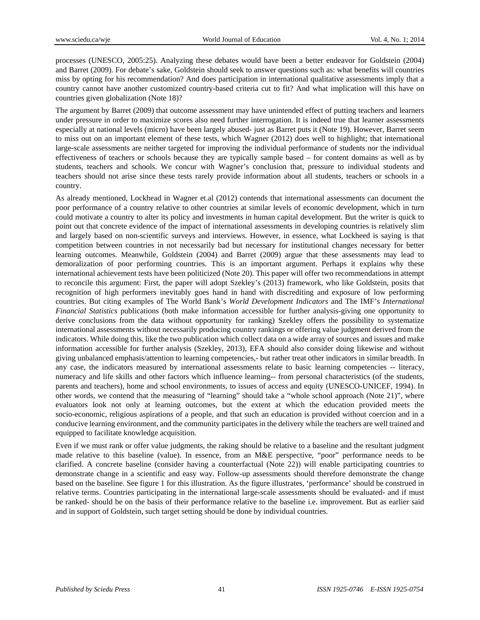processes (UNESCO, 2005:25). Analyzing these debates would have been a better endeavor for Goldstein (2004) and Barret (2009). For debate's sake, Goldstein should seek to answer questions such as: what benefits will countries miss by opting for his recommendation? And does participation in international qualitative assessments imply that a country cannot have another customized country-based criteria cut to fit? And what implication will this have on countries given globalization (Note 18)?

The argument by Barret (2009) that outcome assessment may have unintended effect of putting teachers and learners under pressure in order to maximize scores also need further interrogation. It is indeed true that learner assessments especially at national levels (micro) have been largely abused- just as Barret puts it (Note 19). However, Barret seem to miss out on an important element of these tests, which Wagner (2012) does well to highlight; that international large-scale assessments are neither targeted for improving the individual performance of students nor the individual effectiveness of teachers or schools because they are typically sample based – for content domains as well as by students, teachers and schools. We concur with Wagner's conclusion that, pressure to individual students and teachers should not arise since these tests rarely provide information about all students, teachers or schools in a country.

As already mentioned, Lockhead in Wagner et.al (2012) contends that international assessments can document the poor performance of a country relative to other countries at similar levels of economic development, which in turn could motivate a country to alter its policy and investments in human capital development. But the writer is quick to point out that concrete evidence of the impact of international assessments in developing countries is relatively slim and largely based on non-scientific surveys and interviews. However, in essence, what Lockheed is saying is that competition between countries in not necessarily bad but necessary for institutional changes necessary for better learning outcomes. Meanwhile, Goldstein (2004) and Barret (2009) argue that these assessments may lead to demoralization of poor performing countries. This is an important argument. Perhaps it explains why these international achievement tests have been politicized (Note 20). This paper will offer two recommendations in attempt to reconcile this argument: First, the paper will adopt Szekley's (2013) framework, who like Goldstein, posits that recognition of high performers inevitably goes hand in hand with discrediting and exposure of low performing countries. But citing examples of The World Bank's *World Development Indicators* and The IMF's *International Financial Statistics* publications (both make information accessible for further analysis-giving one opportunity to derive conclusions from the data without opportunity for ranking) Szekley offers the possibility to systematize international assessments without necessarily producing country rankings or offering value judgment derived from the indicators. While doing this, like the two publication which collect data on a wide array of sources and issues and make information accessible for further analysis (Szekley, 2013), EFA should also consider doing likewise and without giving unbalanced emphasis/attention to learning competencies,- but rather treat other indicators in similar breadth. In any case, the indicators measured by international assessments relate to basic learning competencies -- literacy, numeracy and life skills and other factors which influence learning-- from personal characteristics (of the students, parents and teachers), home and school environments, to issues of access and equity (UNESCO-UNICEF, 1994). In other words, we contend that the measuring of "learning" should take a "whole school approach (Note 21)", where evaluators look not only at learning outcomes, but the extent at which the education provided meets the socio-economic, religious aspirations of a people, and that such an education is provided without coercion and in a conducive learning environment, and the community participates in the delivery while the teachers are well trained and equipped to facilitate knowledge acquisition.

Even if we must rank or offer value judgments, the raking should be relative to a baseline and the resultant judgment made relative to this baseline (value). In essence, from an M&E perspective, "poor" performance needs to be clarified. A concrete baseline (consider having a counterfactual (Note 22)) will enable participating countries to demonstrate change in a scientific and easy way. Follow-up assessments should therefore demonstrate the change based on the baseline. See figure 1 for this illustration. As the figure illustrates, 'performance' should be construed in relative terms. Countries participating in the international large-scale assessments should be evaluated- and if must be ranked- should be on the basis of their performance relative to the baseline i.e. improvement. But as earlier said and in support of Goldstein, such target setting should be done by individual countries.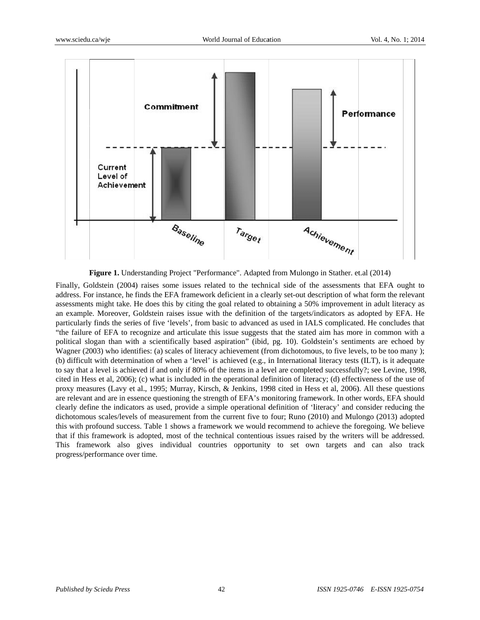

Figure 1. Understanding Project "Performance". Adapted from Mulongo in Stather. et.al (2014)

Finally, Goldstein (2004) raises some issues related to the technical side of the assessments that EFA ought to address. For instance, he finds the EFA framework deficient in a clearly set-out description of what form the relevant assessments might take. He does this by citing the goal related to obtaining a 50% improvement in adult literacy as an example. Moreover, Goldstein raises issue with the definition of the targets/indicators as adopted by EFA. He particularly finds the series of five 'levels', from basic to advanced as used in IALS complicated. He concludes that "the failure of EFA to recognize and articulate this issue suggests that the stated aim has more in common with a political slogan than with a scientifically based aspiration" (ibid, pg. 10). Goldstein's sentiments are echoed by Wagner (2003) who identifies: (a) scales of literacy achievement (from dichotomous, to five levels, to be too many); (b) difficult with determination of when a 'level' is achieved (e.g., in International literacy tests (ILT), is it adequate to say that a level is achieved if and only if 80% of the items in a level are completed successfully?; see Levine, 1998, cited in Hess et al, 2006); (c) what is included in the operational definition of literacy; (d) effectiveness of the use of proxy measures (Lavy et al., 1995; Murray, Kirsch, & Jenkins, 1998 cited in Hess et al, 2006). All these questions are relevant and are in essence questioning the strength of EFA's monitoring framework. In other words, EFA should clearly define the indicators as used, provide a simple operational definition of 'literacy' and consider reducing the dichotomous scales/levels of measurement from the current five to four; Runo (2010) and Mulongo (2013) adopted this with profound success. Table 1 shows a framework we would recommend to achieve the foregoing. We believe that if this framework is adopted, most of the technical contentious issues raised by the writers will be addressed. This framework also gives individual countries opportunity to set own targets and can also track progress/performance over time.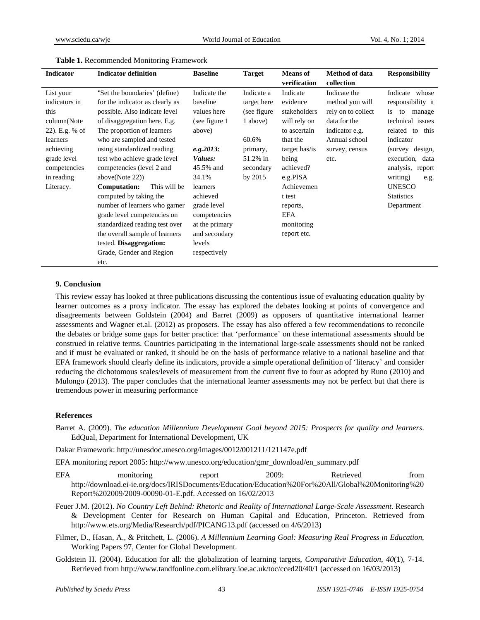| <b>Indicator</b>                                                                                                                                          | <b>Indicator definition</b>                                                                                                                                                                                                                                                                                                                                                                                                                                                                                                                    | <b>Baseline</b>                                                                                                                                                                                                           | <b>Target</b>                                                                                                  | <b>Means</b> of<br>verification                                                                                                                                                                             | <b>Method of data</b><br>collection                                                                                                | <b>Responsibility</b>                                                                                                                                                                                                                                     |
|-----------------------------------------------------------------------------------------------------------------------------------------------------------|------------------------------------------------------------------------------------------------------------------------------------------------------------------------------------------------------------------------------------------------------------------------------------------------------------------------------------------------------------------------------------------------------------------------------------------------------------------------------------------------------------------------------------------------|---------------------------------------------------------------------------------------------------------------------------------------------------------------------------------------------------------------------------|----------------------------------------------------------------------------------------------------------------|-------------------------------------------------------------------------------------------------------------------------------------------------------------------------------------------------------------|------------------------------------------------------------------------------------------------------------------------------------|-----------------------------------------------------------------------------------------------------------------------------------------------------------------------------------------------------------------------------------------------------------|
| List your<br>indicators in<br>this<br>column(Note<br>$22)$ . E.g. % of<br>learners<br>achieving<br>grade level<br>competencies<br>in reading<br>Literacy. | 'Set the boundaries' (define)<br>for the indicator as clearly as<br>possible. Also indicate level<br>of disaggregation here. E.g.<br>The proportion of learners<br>who are sampled and tested<br>using standardized reading<br>test who achieve grade level<br>competencies (level 2 and<br>above(Note $22$ ))<br><b>Computation:</b><br>This will be<br>computed by taking the<br>number of learners who garner<br>grade level competencies on<br>standardized reading test over<br>the overall sample of learners<br>tested. Disaggregation: | Indicate the<br>baseline<br>values here<br>(see figure 1)<br>above)<br>$e.g. 2013$ :<br>Values:<br>45.5% and<br>34.1%<br>learners<br>achieved<br>grade level<br>competencies<br>at the primary<br>and secondary<br>levels | Indicate a<br>target here<br>(see figure)<br>1 above)<br>60.6%<br>primary,<br>51.2% in<br>secondary<br>by 2015 | Indicate<br>evidence<br>stakeholders<br>will rely on<br>to ascertain<br>that the<br>target has/is<br>being<br>achieved?<br>e.g.PISA<br>Achievemen<br>t test<br>reports,<br>EFA<br>monitoring<br>report etc. | Indicate the<br>method you will<br>rely on to collect<br>data for the<br>indicator e.g.<br>Annual school<br>survey, census<br>etc. | Indicate whose<br>responsibility it<br><i>is</i><br>to<br>manage<br>technical issues<br>related to<br>this<br>indicator<br>(survey design,<br>execution, data<br>analysis, report<br>writing)<br>e.g.<br><b>UNESCO</b><br><b>Statistics</b><br>Department |
|                                                                                                                                                           | Grade, Gender and Region<br>etc.                                                                                                                                                                                                                                                                                                                                                                                                                                                                                                               | respectively                                                                                                                                                                                                              |                                                                                                                |                                                                                                                                                                                                             |                                                                                                                                    |                                                                                                                                                                                                                                                           |

## **9. Conclusion**

This review essay has looked at three publications discussing the contentious issue of evaluating education quality by learner outcomes as a proxy indicator. The essay has explored the debates looking at points of convergence and disagreements between Goldstein (2004) and Barret (2009) as opposers of quantitative international learner assessments and Wagner et.al. (2012) as proposers. The essay has also offered a few recommendations to reconcile the debates or bridge some gaps for better practice: that 'performance' on these international assessments should be construed in relative terms. Countries participating in the international large-scale assessments should not be ranked and if must be evaluated or ranked, it should be on the basis of performance relative to a national baseline and that EFA framework should clearly define its indicators, provide a simple operational definition of 'literacy' and consider reducing the dichotomous scales/levels of measurement from the current five to four as adopted by Runo (2010) and Mulongo (2013). The paper concludes that the international learner assessments may not be perfect but that there is tremendous power in measuring performance

#### **References**

- Barret A. (2009). *The education Millennium Development Goal beyond 2015: Prospects for quality and learners*. EdQual, Department for International Development, UK
- Dakar Framework: http://unesdoc.unesco.org/images/0012/001211/121147e.pdf
- EFA monitoring report 2005: http://www.unesco.org/education/gmr\_download/en\_summary.pdf
- EFA monitoring report 2009: Retrieved from http://download.ei-ie.org/docs/IRISDocuments/Education/Education%20For%20All/Global%20Monitoring%20 Report%202009/2009-00090-01-E.pdf. Accessed on 16/02/2013
- Feuer J.M. (2012). *No Country Left Behind: Rhetoric and Reality of International Large-Scale Assessment*. Research & Development Center for Research on Human Capital and Education, Princeton. Retrieved from http://www.ets.org/Media/Research/pdf/PICANG13.pdf (accessed on 4/6/2013)
- Filmer, D., Hasan, A., & Pritchett, L. (2006). *A Millennium Learning Goal: Measuring Real Progress in Education*, Working Papers 97, Center for Global Development.
- Goldstein H. (2004). Education for all: the globalization of learning targets, *Comparative Education*, *40*(1), 7-14. Retrieved from http://www.tandfonline.com.elibrary.ioe.ac.uk/toc/cced20/40/1 (accessed on 16/03/2013)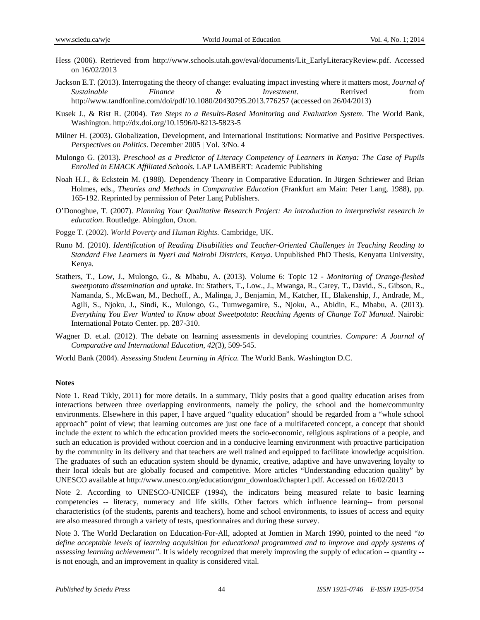- Hess (2006). Retrieved from http://www.schools.utah.gov/eval/documents/Lit\_EarlyLiteracyReview.pdf. Accessed on 16/02/2013
- Jackson E.T. (2013). Interrogating the theory of change: evaluating impact investing where it matters most, *Journal of Sustainable Finance & Investment*. Retrived from http://www.tandfonline.com/doi/pdf/10.1080/20430795.2013.776257 (accessed on 26/04/2013)
- Kusek J., & Rist R. (2004). *Ten Steps to a Results-Based Monitoring and Evaluation System*. The World Bank, Washington. http://dx.doi.org/10.1596/0-8213-5823-5
- Milner H. (2003). Globalization, Development, and International Institutions: Normative and Positive Perspectives. *Perspectives on Politics.* December 2005 | Vol. 3/No. 4
- Mulongo G. (2013). *Preschool as a Predictor of Literacy Competency of Learners in Kenya: The Case of Pupils Enrolled in EMACK Affiliated Schools.* LAP LAMBERT: Academic Publishing
- Noah H.J., & Eckstein M. (1988). Dependency Theory in Comparative Education. In Jürgen Schriewer and Brian Holmes, eds., *Theories and Methods in Comparative Education* (Frankfurt am Main: Peter Lang, 1988), pp. 165-192. Reprinted by permission of Peter Lang Publishers.
- O'Donoghue, T. (2007). *Planning Your Qualitative Research Project: An introduction to interpretivist research in education*. Routledge. Abingdon, Oxon.
- Pogge T. (2002). *World Poverty and Human Rights.* Cambridge, UK.
- Runo M. (2010). *Identification of Reading Disabilities and Teacher-Oriented Challenges in Teaching Reading to Standard Five Learners in Nyeri and Nairobi Districts, Kenya*. Unpublished PhD Thesis, Kenyatta University, Kenya.
- Stathers, T., Low, J., Mulongo, G., & Mbabu, A. (2013). Volume 6: Topic 12 *Monitoring of Orange-fleshed sweetpotato dissemination and uptake*. In: Stathers, T., Low., J., Mwanga, R., Carey, T., David., S., Gibson, R., Namanda, S., McEwan, M., Bechoff., A., Malinga, J., Benjamin, M., Katcher, H., Blakenship, J., Andrade, M., Agili, S., Njoku, J., Sindi, K., Mulongo, G., Tumwegamire, S., Njoku, A., Abidin, E., Mbabu, A. (2013). *Everything You Ever Wanted to Know about Sweetpotato*: *Reaching Agents of Change ToT Manual*. Nairobi: International Potato Center. pp. 287-310.
- Wagner D. et.al. (2012). The debate on learning assessments in developing countries. *Compare: A Journal of Comparative and International Education*, *42*(3), 509-545.

World Bank (2004). *Assessing Student Learning in Africa.* The World Bank*.* Washington D.C.

#### **Notes**

Note 1. Read Tikly, 2011) for more details. In a summary, Tikly posits that a good quality education arises from interactions between three overlapping environments, namely the policy, the school and the home/community environments. Elsewhere in this paper, I have argued "quality education" should be regarded from a "whole school approach" point of view; that learning outcomes are just one face of a multifaceted concept, a concept that should include the extent to which the education provided meets the socio-economic, religious aspirations of a people, and such an education is provided without coercion and in a conducive learning environment with proactive participation by the community in its delivery and that teachers are well trained and equipped to facilitate knowledge acquisition. The graduates of such an education system should be dynamic, creative, adaptive and have unwavering loyalty to their local ideals but are globally focused and competitive. More articles "Understanding education quality" by UNESCO available at http://www.unesco.org/education/gmr\_download/chapter1.pdf. Accessed on 16/02/2013

Note 2. According to UNESCO-UNICEF (1994), the indicators being measured relate to basic learning competencies -- literacy, numeracy and life skills. Other factors which influence learning-- from personal characteristics (of the students, parents and teachers), home and school environments, to issues of access and equity are also measured through a variety of tests, questionnaires and during these survey.

Note 3. The World Declaration on Education-For-All, adopted at Jomtien in March 1990, pointed to the need *"to define acceptable levels of learning acquisition for educational programmed and to improve and apply systems of assessing learning achievement".* It is widely recognized that merely improving the supply of education -- quantity - is not enough, and an improvement in quality is considered vital.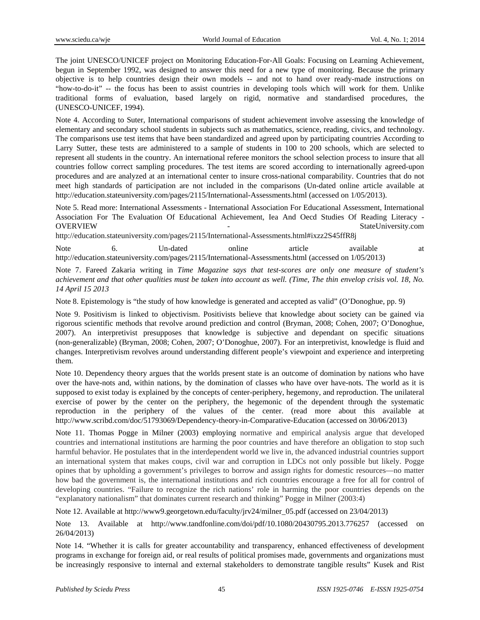The joint UNESCO/UNICEF project on Monitoring Education-For-All Goals: Focusing on Learning Achievement, begun in September 1992, was designed to answer this need for a new type of monitoring. Because the primary objective is to help countries design their own models -- and not to hand over ready-made instructions on "how-to-do-it" -- the focus has been to assist countries in developing tools which will work for them. Unlike traditional forms of evaluation, based largely on rigid, normative and standardised procedures, the (UNESCO-UNICEF, 1994).

Note 4. According to Suter, International comparisons of student achievement involve assessing the knowledge of elementary and secondary school students in subjects such as mathematics, science, reading, civics, and technology. The comparisons use test items that have been standardized and agreed upon by participating countries According to Larry Sutter, these tests are administered to a sample of students in 100 to 200 schools, which are selected to represent all students in the country. An international referee monitors the school selection process to insure that all countries follow correct sampling procedures. The test items are scored according to internationally agreed-upon procedures and are analyzed at an international center to insure cross-national comparability. Countries that do not meet high standards of participation are not included in the comparisons (Un-dated online article available at http://education.stateuniversity.com/pages/2115/International-Assessments.html (accessed on 1/05/2013).

Note 5. Read more: International Assessments - International Association For Educational Assessment, International Association For The Evaluation Of Educational Achievement, Iea And Oecd Studies Of Reading Literacy - OVERVIEW **-** StateUniversity.com

http://education.stateuniversity.com/pages/2115/International-Assessments.html#ixzz2S45ffR8j

Note 6. Un-dated online article available at http://education.stateuniversity.com/pages/2115/International-Assessments.html (accessed on 1/05/2013)

Note 7. Fareed Zakaria writing in *Time Magazine says that test-scores are only one measure of student's achievement and that other qualities must be taken into account as well. (Time, The thin envelop crisis vol. 18, No. 14 April 15 2013*

Note 8. Epistemology is "the study of how knowledge is generated and accepted as valid" (O'Donoghue, pp. 9)

Note 9. Positivism is linked to objectivism. Positivists believe that knowledge about society can be gained via rigorous scientific methods that revolve around prediction and control (Bryman, 2008; Cohen, 2007; O'Donoghue, 2007). An interpretivist presupposes that knowledge is subjective and dependant on specific situations (non-generalizable) (Bryman, 2008; Cohen, 2007; O'Donoghue, 2007). For an interpretivist, knowledge is fluid and changes. Interpretivism revolves around understanding different people's viewpoint and experience and interpreting them.

Note 10. Dependency theory argues that the worlds present state is an outcome of domination by nations who have over the have-nots and, within nations, by the domination of classes who have over have-nots. The world as it is supposed to exist today is explained by the concepts of center-periphery, hegemony, and reproduction. The unilateral exercise of power by the center on the periphery, the hegemonic of the dependent through the systematic reproduction in the periphery of the values of the center. (read more about this available at http://www.scribd.com/doc/51793069/Dependency-theory-in-Comparative-Education (accessed on 30/06/2013)

Note 11. Thomas Pogge in Milner (2003) employing normative and empirical analysis argue that developed countries and international institutions are harming the poor countries and have therefore an obligation to stop such harmful behavior. He postulates that in the interdependent world we live in, the advanced industrial countries support an international system that makes coups, civil war and corruption in LDCs not only possible but likely. Pogge opines that by upholding a government's privileges to borrow and assign rights for domestic resources—no matter how bad the government is, the international institutions and rich countries encourage a free for all for control of developing countries. "Failure to recognize the rich nations' role in harming the poor countries depends on the "explanatory nationalism" that dominates current research and thinking" Pogge in Milner (2003:4)

Note 12. Available at http://www9.georgetown.edu/faculty/jrv24/milner\_05.pdf (accessed on 23/04/2013)

Note 13. Available at http://www.tandfonline.com/doi/pdf/10.1080/20430795.2013.776257 (accessed on 26/04/2013)

Note 14. "Whether it is calls for greater accountability and transparency, enhanced effectiveness of development programs in exchange for foreign aid, or real results of political promises made, governments and organizations must be increasingly responsive to internal and external stakeholders to demonstrate tangible results" Kusek and Rist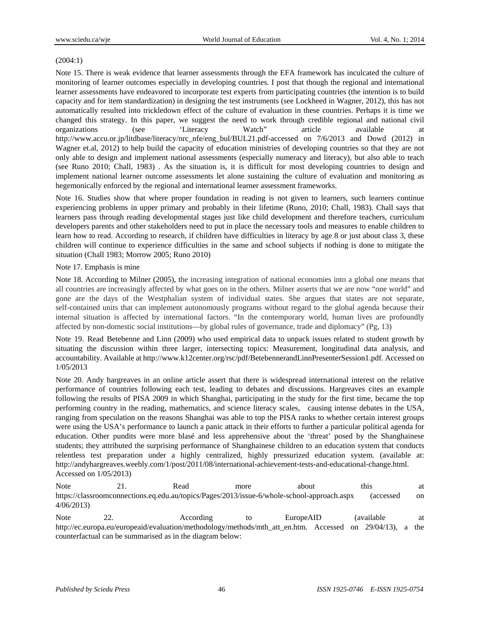## (2004:1)

Note 15. There is weak evidence that learner assessments through the EFA framework has inculcated the culture of monitoring of learner outcomes especially in developing countries. I post that though the regional and international learner assessments have endeavored to incorporate test experts from participating countries (the intention is to build capacity and for item standardization) in designing the test instruments (see Lockheed in Wagner, 2012), this has not automatically resulted into trickledown effect of the culture of evaluation in these countries. Perhaps it is time we changed this strategy. In this paper, we suggest the need to work through credible regional and national civil organizations (see 'Literacy Watch" article available at http://www.accu.or.jp/litdbase/literacy/nrc\_nfe/eng\_bul/BUL21.pdf-accessed on 7/6/2013 and Dowd (2012) in Wagner et.al, 2012) to help build the capacity of education ministries of developing countries so that they are not only able to design and implement national assessments (especially numeracy and literacy), but also able to teach (see Runo 2010; Chall, 1983) . As the situation is, it is difficult for most developing countries to design and implement national learner outcome assessments let alone sustaining the culture of evaluation and monitoring as hegemonically enforced by the regional and international learner assessment frameworks.

Note 16. Studies show that where proper foundation in reading is not given to learners, such learners continue experiencing problems in upper primary and probably in their lifetime (Runo, 2010; Chall, 1983). Chall says that learners pass through reading developmental stages just like child development and therefore teachers, curriculum developers parents and other stakeholders need to put in place the necessary tools and measures to enable children to learn how to read. According to research, if children have difficulties in literacy by age 8 or just about class 3, these children will continue to experience difficulties in the same and school subjects if nothing is done to mitigate the situation (Chall 1983; Morrow 2005; Runo 2010)

## Note 17. Emphasis is mine

Note 18. According to Milner (2005), the increasing integration of national economies into a global one means that all countries are increasingly affected by what goes on in the others. Milner asserts that we are now "one world" and gone are the days of the Westphalian system of individual states. She argues that states are not separate, self-contained units that can implement autonomously programs without regard to the global agenda because their internal situation is affected by international factors. "In the contemporary world, human lives are profoundly affected by non-domestic social institutions—by global rules of governance, trade and diplomacy" (Pg, 13)

Note 19. Read Betebenne and Linn (2009) who used empirical data to unpack issues related to student growth by situating the discussion within three larger, intersecting topics: Measurement, longitudinal data analysis, and accountability. Available at http://www.k12center.org/rsc/pdf/BetebennerandLinnPresenterSession1.pdf. Accessed on 1/05/2013

Note 20. Andy hargreaves in an online article assert that there is widespread international interest on the relative performance of countries following each test, leading to debates and discussions. Hargreaves cites an example following the results of PISA 2009 in which Shanghai, participating in the study for the first time, became the top performing country in the reading, mathematics, and science literacy scales, causing intense debates in the USA, ranging from speculation on the reasons Shanghai was able to top the PISA ranks to whether certain interest groups were using the USA's performance to launch a panic attack in their efforts to further a particular political agenda for education. Other pundits were more blasé and less apprehensive about the 'threat' posed by the Shanghainese students; they attributed the surprising performance of Shanghainese children to an education system that conducts relentless test preparation under a highly centralized, highly pressurized education system. (available at: http://andyhargreaves.weebly.com/1/post/2011/08/international-achievement-tests-and-educational-change.html. Accessed on 1/05/2013)

Note 21. Read more about this at https://classroomconnections.eq.edu.au/topics/Pages/2013/issue-6/whole-school-approach.aspx (accessed on 4/06/2013)

Note 22. According to EuropeAID (available at http://ec.europa.eu/europeaid/evaluation/methodology/methods/mth\_att\_en.htm. Accessed on 29/04/13), a the counterfactual can be summarised as in the diagram below: